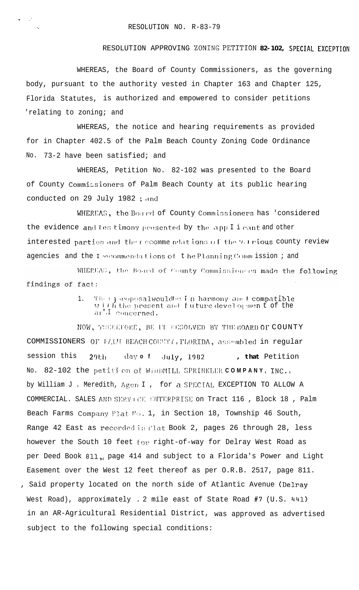## RESOLUTION APPROVING ZONING PETITION 82-102, SPECIAL EXCEPTION

WHEREAS, the Board of County Commissioners, as the governing body, pursuant to the authority vested in Chapter 163 and Chapter 125, Florida Statutes, is authorized and empowered to consider petitions 'relating to zoning; and

WHEREAS, the notice and hearing requirements as provided for in Chapter 402.5 of the Palm Beach County Zoning Code Ordinance 73-2 have been satisfied; and No.

WHEREAS, Petition No. 82-102 was presented to the Board of County Commicsioners of Palm Beach County at its public hearing conducted on 29 July 1982; and

WHEREAS, the Board of County Commissioners has 'considered the evidence and tes timony presented by the app I i cant and other interested parties and the recommendations of the varrious county review agencies and the I ecommendations of the Planning Comm ission ; and

WHEREAS, the Board of County Commissioners made the following findings of fact:

> Their eoposalwouldbe in harmony and compatible 1.  $\overline{y}$  if the present and future developmen t of the ar".I concerned.

NOW, TUEFLEORE, BE IT EESOLVED BY THE BOARD OF COUNTY COMMISSIONERS OF FALM BEACH COUNTI , FLORIDA, assembled in regular session this , that Petition  $day$  of  $29th$ July, 1982 No. 82-102 the petition of WillMILL SPRINKLER COMPANY, INC., by William J . Meredith, Agen I , for a SPECIAL EXCEPTION TO ALLOW A COMMERCIAL. SALES AND SERVICE ENTERPRISE on Tract 116, Block 18, Palm Beach Farms Company Plat Mo. 1, in Section 18, Township 46 South, Range 42 East as recorded in Flat Book 2, pages 26 through 28, less however the South 10 feet for right-of-way for Delray West Road as per Deed Book 811, page 414 and subject to a Florida's Power and Light Easement over the West 12 feet thereof as per O.R.B. 2517, page 811. , Said property located on the north side of Atlantic Avenue (Delray West Road), approximately . 2 mile east of State Road #7 (U.S. 441) in an AR-Agricultural Residential District, was approved as advertised subject to the following special conditions: